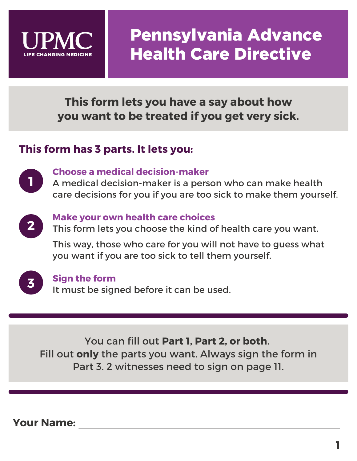

**This form lets you have a say about how you want to be treated if you get very sick.**

## **This form has 3 parts. It lets you:**



### **Choose a medical decision-maker**

A medical decision-maker is a person who can make health care decisions for you if you are too sick to make them yourself.



### **Make your own health care choices**

This form lets you choose the kind of health care you want.

This way, those who care for you will not have to guess what you want if you are too sick to tell them yourself.



#### **Sign the form**

It must be signed before it can be used.

You can fill out **Part 1, Part 2, or both**. Fill out **only** the parts you want. Always sign the form in Part 3. 2 witnesses need to sign on page 11.

**Your Name:**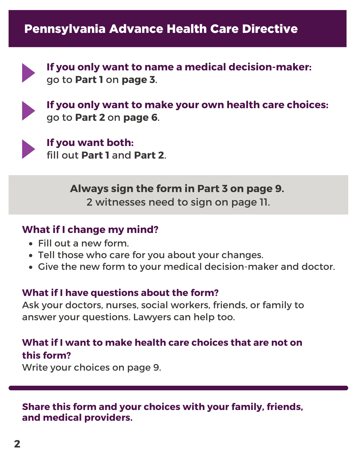

**If you only want to name a medical decision-maker:** go to **Part 1** on **page 3**.



**If you only want to make your own health care choices:** go to **Part 2** on **page 6**.



**If you want both:** fill out **Part 1** and **Part 2**.

> **Always sign the form in Part 3 on page 9.** 2 witnesses need to sign on page 11.

### **What if I change my mind?**

- Fill out a new form.
- Tell those who care for you about your changes.
- Give the new form to your medical decision-maker and doctor.

## **What if I have questions about the form?**

Ask your doctors, nurses, social workers, friends, or family to answer your questions. Lawyers can help too.

## **What if I want to make health care choices that are not on this form?**

Write your choices on page 9.

**Share this form and your choices with your family, friends, and medical providers.**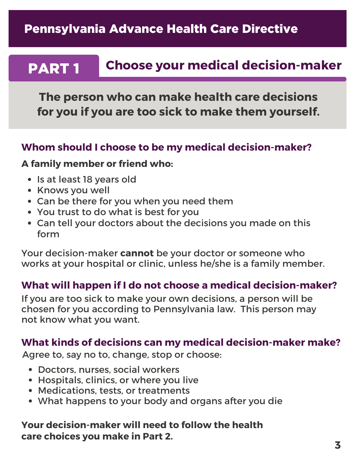#### PART 1 **Choose your medical decision-maker**

**The person who can make health care decisions for you if you are too sick to make them yourself.**

#### **Whom should I choose to be my medical decision-maker?**

#### **A family member or friend who:**

- Is at least 18 years old
- Knows you well
- Can be there for you when you need them
- You trust to do what is best for you
- Can tell your doctors about the decisions you made on this form

Your decision-maker **cannot** be your doctor or someone who works at your hospital or clinic, unless he/she is a family member.

### **What will happen if I do not choose a medical decision-maker?**

If you are too sick to make your own decisions, a person will be chosen for you according to Pennsylvania law. This person may not know what you want.

### **What kinds of decisions can my medical decision-maker make?**

Agree to, say no to, change, stop or choose:

- Doctors, nurses, social workers
- Hospitals, clinics, or where you live
- Medications, tests, or treatments
- What happens to your body and organs after you die

### **Your decision-maker will need to follow the health care choices you make in Part 2.**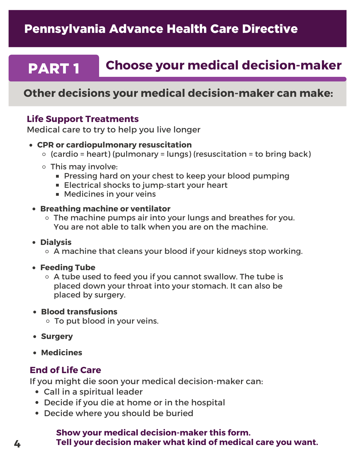#### PART 1 **Choose your medical decision-maker**

### **Other decisions your medical decision-maker can make:**

#### **Life Support Treatments**

Medical care to try to help you live longer

- **CPR or cardiopulmonary resuscitation**
	- $\circ$  (cardio = heart) (pulmonary = lungs) (resuscitation = to bring back)
	- This may involve:
		- **Pressing hard on your chest to keep your blood pumping**
		- **Electrical shocks to jump-start your heart**
		- Medicines in your veins

#### **Breathing machine or ventilator**

- The machine pumps air into your lungs and breathes for you. You are not able to talk when you are on the machine.
- **Dialysis** 
	- $\circ$  A machine that cleans your blood if your kidneys stop working.
- **Feeding Tube**
	- $\circ$  A tube used to feed you if you cannot swallow. The tube is placed down your throat into your stomach. It can also be placed by surgery.
- **Blood transfusions**
	- To put blood in your veins.
- **Surgery**
- **Medicines**

#### **End of Life Care**

If you might die soon your medical decision-maker can:

- Call in a spiritual leader
- Decide if you die at home or in the hospital
- Decide where you should be buried

#### **Show your medical decision-maker this form. Tell your decision maker what kind of medical care you want.**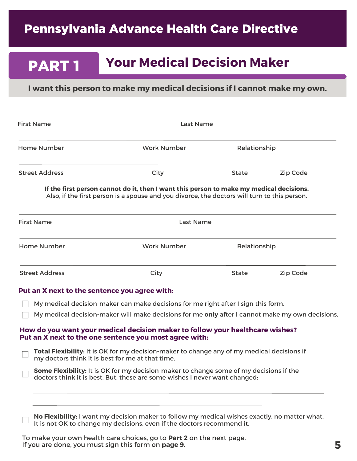PART 1

## **Your Medical Decision Maker**

#### **I want this person to make my medical decisions if I cannot make my own.**

| <b>First Name</b>                                | Last Name                                                                                                                                                                               |              |          |
|--------------------------------------------------|-----------------------------------------------------------------------------------------------------------------------------------------------------------------------------------------|--------------|----------|
| <b>Home Number</b>                               | <b>Work Number</b>                                                                                                                                                                      | Relationship |          |
| <b>Street Address</b>                            | City                                                                                                                                                                                    | <b>State</b> | Zip Code |
|                                                  | If the first person cannot do it, then I want this person to make my medical decisions.<br>Also, if the first person is a spouse and you divorce, the doctors will turn to this person. |              |          |
| <b>First Name</b>                                | <b>Last Name</b>                                                                                                                                                                        |              |          |
| <b>Home Number</b>                               | <b>Work Number</b>                                                                                                                                                                      | Relationship |          |
| <b>Street Address</b>                            | City                                                                                                                                                                                    | <b>State</b> | Zip Code |
| Put an X next to the sentence you agree with:    |                                                                                                                                                                                         |              |          |
|                                                  | My medical decision-maker can make decisions for me right after I sign this form.                                                                                                       |              |          |
|                                                  | My medical decision-maker will make decisions for me only after I cannot make my own decisions.                                                                                         |              |          |
|                                                  | How do you want your medical decision maker to follow your healthcare wishes?<br>Put an X next to the one sentence you most agree with:                                                 |              |          |
| my doctors think it is best for me at that time. | Total Flexibility: It is OK for my decision-maker to change any of my medical decisions if                                                                                              |              |          |
|                                                  | Some Flexibility: It is OK for my decision-maker to change some of my decisions if the<br>doctors think it is best. But, these are some wishes I never want changed:                    |              |          |
|                                                  | No Flexibility: I want my decision maker to follow my medical wishes exactly, no matter what.<br>It is not OK to change my decisions, even if the doctors recommend it.                 |              |          |

To make your own health care choices, go to **Part 2** on the next page. If you are done, you must sign this form on **page 9**.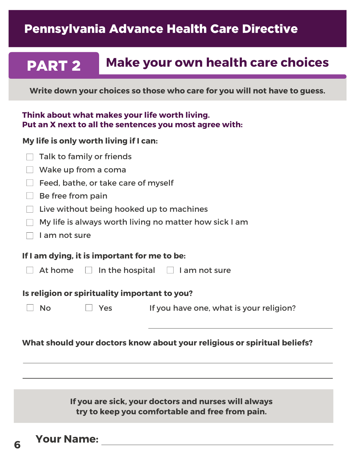#### PART 2 **Make your own health care choices**

**Write down your choices so those who care for you will not have to guess.**

#### **Think about what makes your life worth living. Put an X next to all the sentences you most agree with:**

#### **My life is only worth living if I can:**

|               | Talk to family or friends                     |                                                                          |
|---------------|-----------------------------------------------|--------------------------------------------------------------------------|
|               | Wake up from a coma                           |                                                                          |
|               | Feed, bathe, or take care of myself           |                                                                          |
|               | Be free from pain                             |                                                                          |
|               |                                               | Live without being hooked up to machines                                 |
|               |                                               | My life is always worth living no matter how sick I am                   |
| I am not sure |                                               |                                                                          |
|               | If I am dying, it is important for me to be:  |                                                                          |
|               |                                               | At home $\Box$ In the hospital $\Box$ I am not sure                      |
|               | Is religion or spirituality important to you? |                                                                          |
| <b>No</b>     | Yes                                           | If you have one, what is your religion?                                  |
|               |                                               |                                                                          |
|               |                                               | What should your doctors know about your religious or spiritual beliefs? |
|               |                                               |                                                                          |
|               |                                               |                                                                          |
|               |                                               |                                                                          |
|               |                                               | If you are sick your doctors and nurses will always                      |

**If you are sick, your doctors and nurses will always try to keep you comfortable and free from pain.**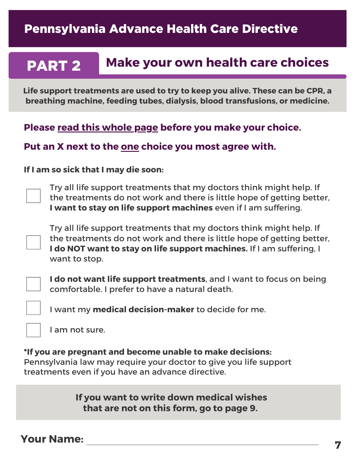#### PART 2 **Make your own health care choices**

**Life support treatments are used to try to keep you alive. These can be CPR, a breathing machine, feeding tubes, dialysis, blood transfusions, or medicine.**

**Please read this whole page before you make your choice.**

#### **Put an X next to the one choice you most agree with.**

#### **If I am so sick that I may die soon:**

Try all life support treatments that my doctors think might help. If the treatments do not work and there is little hope of getting better, **I want to stay on life support machines** even if I am suffering.

Try all life support treatments that my doctors think might help. If the treatments do not work and there is little hope of getting better, **I do NOT want to stay on life support machines.** If I am suffering, I want to stop.

**I do not want life support treatments**, and I want to focus on being comfortable. I prefer to have a natural death.

I want my **medical decision-maker** to decide for me.

I am not sure.

**\*If you are pregnant and become unable to make decisions:** Pennsylvania law may require your doctor to give you life support treatments even if you have an advance directive.

> **If you want to write down medical wishes that are not on this form, go to page 9.**

### **Your Name:**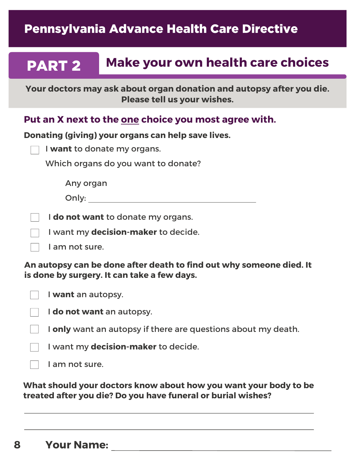#### PART 2 **Make your own health care choices**

**Your doctors may ask about organ donation and autopsy after you die. Please tell us your wishes.**

### **Put an X next to the one choice you most agree with.**

**Donating (giving) your organs can help save lives.**

|  |  | I want to donate my organs. |
|--|--|-----------------------------|
|--|--|-----------------------------|

Which organs do you want to donate?

Any organ

Only:

I **do not want** to donate my organs.

I want my **decision-maker** to decide.

I am not sure.

**An autopsy can be done after death to find out why someone died. It is done by surgery. It can take a few days.**

I **want** an autopsy.

I **do not want** an autopsy.

I **only** want an autopsy if there are questions about my death.

I want my **decision-maker** to decide.

I am not sure.

**What should your doctors know about how you want your body to be treated after you die? Do you have funeral or burial wishes?**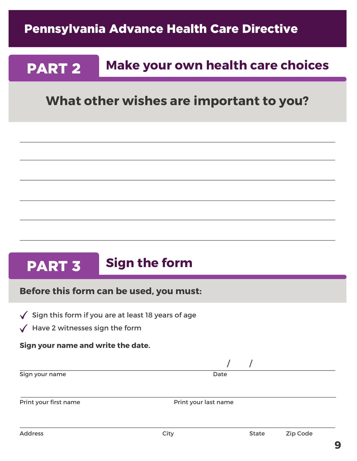#### PART 2 **Make your own health care choices**

## **What other wishes are important to you?**

#### PART 3 **Sign the form**

#### **Before this form can be used, you must:**

- $\sqrt{\phantom{a}}$  Sign this form if you are at least 18 years of age
- $\sqrt{\phantom{a}}$  Have 2 witnesses sign the form

#### **Sign your name and write the date.**

| Sign your name | Date |
|----------------|------|
|                |      |

/ /

Print your first name **Print your last name**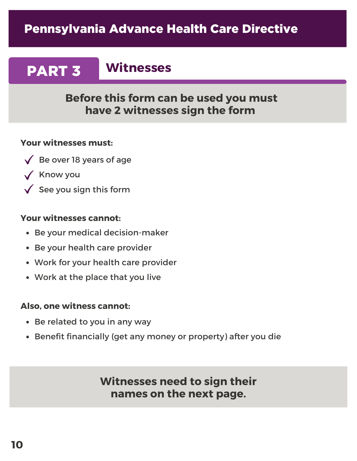# PART 3

**Witnesses**

### **Before this form can be used you must have 2 witnesses sign the form**

#### **Your witnesses must:**

- $\sqrt{\phantom{a}}$  Be over 18 years of age
- $\sqrt{\phantom{a}}$  Know you
- $\sqrt{\ }$  See you sign this form

#### **Your witnesses cannot:**

- Be your medical decision-maker
- Be your health care provider
- Work for your health care provider
- Work at the place that you live

#### **Also, one witness cannot:**

- Be related to you in any way
- Benefit financially (get any money or property) after you die

**Witnesses need to sign their names on the next page.**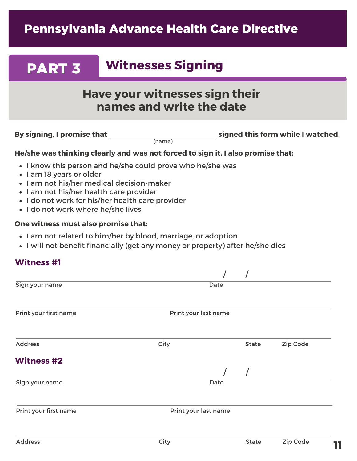# **Witnesses Signing**

## **Have your witnesses sign their names and write the date**

**By signing, I promise that**

PART 3

(name)

**signed this form while I watched.**

#### **He/she was thinking clearly and was not forced to sign it. I also promise that:**

- I know this person and he/she could prove who he/she was
- I am 18 years or older
- I am not his/her medical decision-maker
- I am not his/her health care provider
- I do not work for his/her health care provider
- I do not work where he/she lives

#### **One witness must also promise that:**

- I am not related to him/her by blood, marriage, or adoption
- I will not benefit financially (get any money or property) after he/she dies

#### **Witness #1**

| Sign your name        | Date                 |              |          |
|-----------------------|----------------------|--------------|----------|
|                       |                      |              |          |
| Print your first name | Print your last name |              |          |
|                       |                      |              |          |
| <b>Address</b>        | City                 | <b>State</b> | Zip Code |
| <b>Witness #2</b>     |                      |              |          |
|                       |                      |              |          |
| Sign your name        | Date                 |              |          |
|                       |                      |              |          |
| Print your first name | Print your last name |              |          |
|                       |                      |              |          |
|                       |                      |              |          |